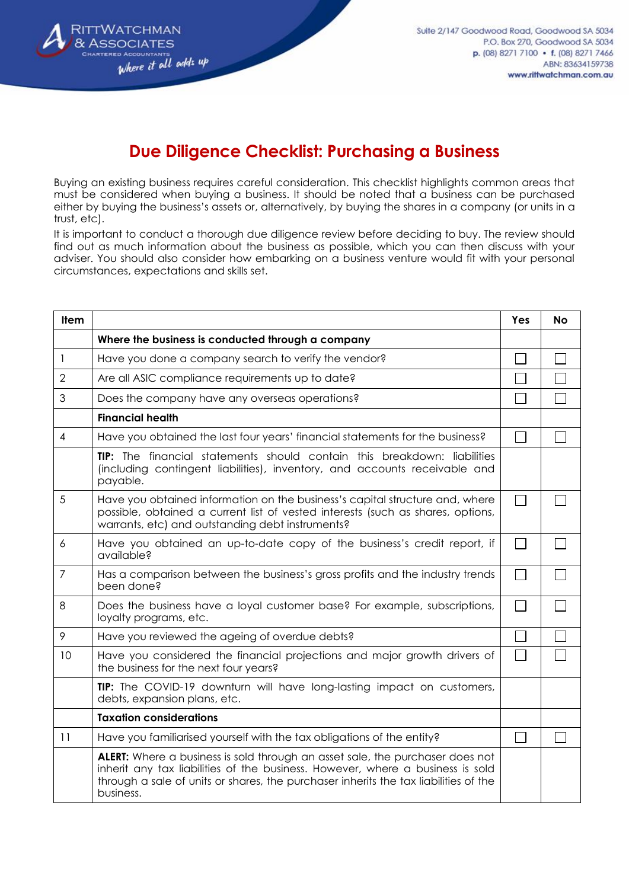

## **Due Diligence Checklist: Purchasing a Business**

Buying an existing business requires careful consideration. This checklist highlights common areas that must be considered when buying a business. It should be noted that a business can be purchased either by buying the business's assets or, alternatively, by buying the shares in a company (or units in a trust, etc).

It is important to conduct a thorough due diligence review before deciding to buy. The review should find out as much information about the business as possible, which you can then discuss with your adviser. You should also consider how embarking on a business venture would fit with your personal circumstances, expectations and skills set.

| <b>Item</b>    |                                                                                                                                                                                                                                                                      | Yes          | <b>No</b> |
|----------------|----------------------------------------------------------------------------------------------------------------------------------------------------------------------------------------------------------------------------------------------------------------------|--------------|-----------|
|                | Where the business is conducted through a company                                                                                                                                                                                                                    |              |           |
| $\mathbf{1}$   | Have you done a company search to verify the vendor?                                                                                                                                                                                                                 |              |           |
| $\overline{2}$ | Are all ASIC compliance requirements up to date?                                                                                                                                                                                                                     |              |           |
| 3              | Does the company have any overseas operations?                                                                                                                                                                                                                       |              |           |
|                | <b>Financial health</b>                                                                                                                                                                                                                                              |              |           |
| $\overline{4}$ | Have you obtained the last four years' financial statements for the business?                                                                                                                                                                                        |              |           |
|                | TIP: The financial statements should contain this breakdown: liabilities<br>(including contingent liabilities), inventory, and accounts receivable and<br>payable.                                                                                                   |              |           |
| 5              | Have you obtained information on the business's capital structure and, where<br>possible, obtained a current list of vested interests (such as shares, options,<br>warrants, etc) and outstanding debt instruments?                                                  |              |           |
| 6              | Have you obtained an up-to-date copy of the business's credit report, if<br>available?                                                                                                                                                                               | $\mathbf{L}$ |           |
| $\overline{7}$ | Has a comparison between the business's gross profits and the industry trends<br>been done?                                                                                                                                                                          | $\Box$       |           |
| 8              | Does the business have a loyal customer base? For example, subscriptions,<br>loyalty programs, etc.                                                                                                                                                                  |              |           |
| 9              | Have you reviewed the ageing of overdue debts?                                                                                                                                                                                                                       |              |           |
| 10             | Have you considered the financial projections and major growth drivers of<br>the business for the next four years?                                                                                                                                                   |              |           |
|                | TIP: The COVID-19 downturn will have long-lasting impact on customers,<br>debts, expansion plans, etc.                                                                                                                                                               |              |           |
|                | <b>Taxation considerations</b>                                                                                                                                                                                                                                       |              |           |
| 11             | Have you familiarised yourself with the tax obligations of the entity?                                                                                                                                                                                               |              |           |
|                | ALERT: Where a business is sold through an asset sale, the purchaser does not<br>inherit any tax liabilities of the business. However, where a business is sold<br>through a sale of units or shares, the purchaser inherits the tax liabilities of the<br>business. |              |           |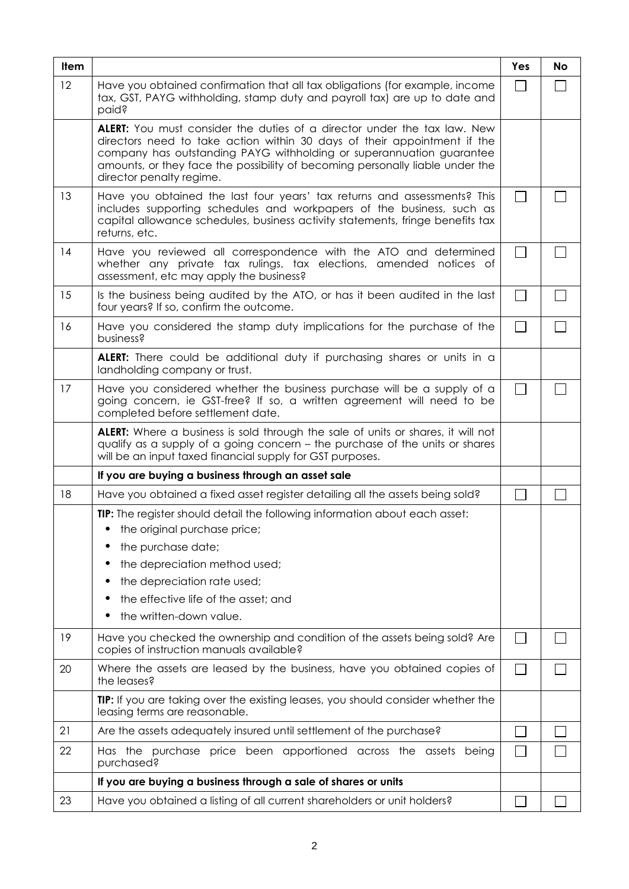| <b>Item</b> |                                                                                                                                                                                                                                                                                                                                                  | Yes          | <b>No</b> |
|-------------|--------------------------------------------------------------------------------------------------------------------------------------------------------------------------------------------------------------------------------------------------------------------------------------------------------------------------------------------------|--------------|-----------|
| 12          | Have you obtained confirmation that all tax obligations (for example, income<br>tax, GST, PAYG withholding, stamp duty and payroll tax) are up to date and<br>paid?                                                                                                                                                                              |              |           |
|             | <b>ALERT:</b> You must consider the duties of a director under the tax law. New<br>directors need to take action within 30 days of their appointment if the<br>company has outstanding PAYG withholding or superannuation guarantee<br>amounts, or they face the possibility of becoming personally liable under the<br>director penalty regime. |              |           |
| 13          | Have you obtained the last four years' tax returns and assessments? This<br>includes supporting schedules and workpapers of the business, such as<br>capital allowance schedules, business activity statements, fringe benefits tax<br>returns, etc.                                                                                             |              |           |
| 14          | Have you reviewed all correspondence with the ATO and determined<br>whether any private tax rulings, tax elections, amended notices of<br>assessment, etc may apply the business?                                                                                                                                                                | $\mathbf{L}$ |           |
| 15          | Is the business being audited by the ATO, or has it been audited in the last<br>four years? If so, confirm the outcome.                                                                                                                                                                                                                          | $\Box$       |           |
| 16          | Have you considered the stamp duty implications for the purchase of the<br>business?                                                                                                                                                                                                                                                             | $\Box$       |           |
|             | ALERT: There could be additional duty if purchasing shares or units in a<br>landholding company or trust.                                                                                                                                                                                                                                        |              |           |
| 17          | Have you considered whether the business purchase will be a supply of a<br>going concern, ie GST-free? If so, a written agreement will need to be<br>completed before settlement date.                                                                                                                                                           |              |           |
|             | <b>ALERT:</b> Where a business is sold through the sale of units or shares, it will not<br>qualify as a supply of a going concern – the purchase of the units or shares<br>will be an input taxed financial supply for GST purposes.                                                                                                             |              |           |
|             | If you are buying a business through an asset sale                                                                                                                                                                                                                                                                                               |              |           |
| 18          | Have you obtained a fixed asset register detailing all the assets being sold?                                                                                                                                                                                                                                                                    |              |           |
|             | TIP: The register should detail the following information about each asset:<br>the original purchase price;<br>the purchase date;<br>the depreciation method used;<br>the depreciation rate used;<br>the effective life of the asset; and<br>the written-down value.                                                                             |              |           |
| 19          | Have you checked the ownership and condition of the assets being sold? Are<br>copies of instruction manuals available?                                                                                                                                                                                                                           |              |           |
| 20          | Where the assets are leased by the business, have you obtained copies of<br>the leases?                                                                                                                                                                                                                                                          |              |           |
|             | <b>TIP:</b> If you are taking over the existing leases, you should consider whether the<br>leasing terms are reasonable.                                                                                                                                                                                                                         |              |           |
| 21          | Are the assets adequately insured until settlement of the purchase?                                                                                                                                                                                                                                                                              |              |           |
| 22          | Has the purchase price been apportioned across the assets being<br>purchased?                                                                                                                                                                                                                                                                    |              |           |
|             | If you are buying a business through a sale of shares or units                                                                                                                                                                                                                                                                                   |              |           |
| 23          | Have you obtained a listing of all current shareholders or unit holders?                                                                                                                                                                                                                                                                         |              |           |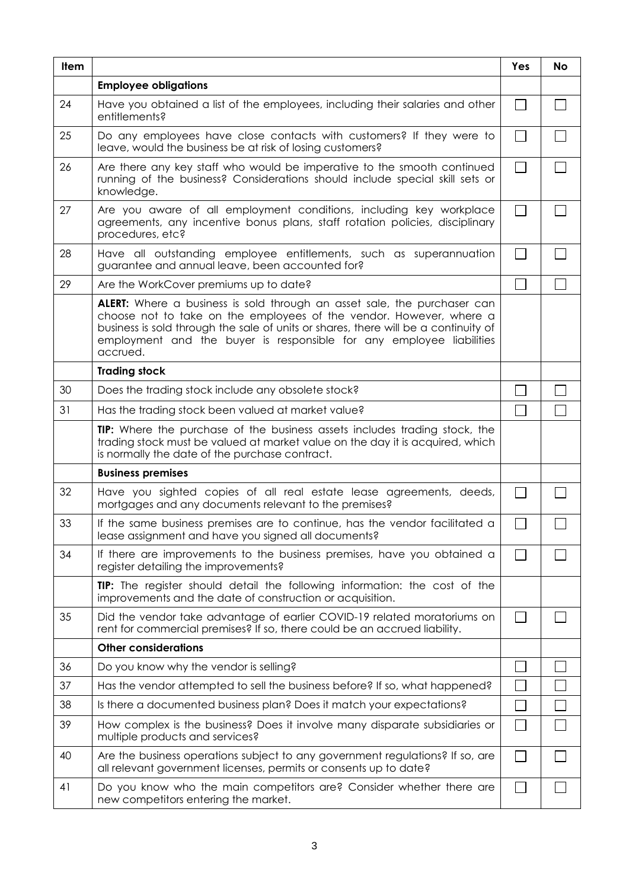| <b>Item</b> |                                                                                                                                                                                                                                                                                                                                   | Yes            | <b>No</b> |
|-------------|-----------------------------------------------------------------------------------------------------------------------------------------------------------------------------------------------------------------------------------------------------------------------------------------------------------------------------------|----------------|-----------|
|             | <b>Employee obligations</b>                                                                                                                                                                                                                                                                                                       |                |           |
| 24          | Have you obtained a list of the employees, including their salaries and other<br>entitlements?                                                                                                                                                                                                                                    |                |           |
| 25          | Do any employees have close contacts with customers? If they were to<br>leave, would the business be at risk of losing customers?                                                                                                                                                                                                 |                |           |
| 26          | Are there any key staff who would be imperative to the smooth continued<br>running of the business? Considerations should include special skill sets or<br>knowledge.                                                                                                                                                             |                |           |
| 27          | Are you aware of all employment conditions, including key workplace<br>agreements, any incentive bonus plans, staff rotation policies, disciplinary<br>procedures, etc?                                                                                                                                                           | $\Box$         |           |
| 28          | Have all outstanding employee entitlements, such as superannuation<br>guarantee and annual leave, been accounted for?                                                                                                                                                                                                             | $\mathbf{L}$   |           |
| 29          | Are the WorkCover premiums up to date?                                                                                                                                                                                                                                                                                            |                |           |
|             | <b>ALERT:</b> Where a business is sold through an asset sale, the purchaser can<br>choose not to take on the employees of the vendor. However, where a<br>business is sold through the sale of units or shares, there will be a continuity of<br>employment and the buyer is responsible for any employee liabilities<br>accrued. |                |           |
|             | <b>Trading stock</b>                                                                                                                                                                                                                                                                                                              |                |           |
| 30          | Does the trading stock include any obsolete stock?                                                                                                                                                                                                                                                                                |                |           |
| 31          | Has the trading stock been valued at market value?                                                                                                                                                                                                                                                                                |                |           |
|             | TIP: Where the purchase of the business assets includes trading stock, the<br>trading stock must be valued at market value on the day it is acquired, which<br>is normally the date of the purchase contract.                                                                                                                     |                |           |
|             | <b>Business premises</b>                                                                                                                                                                                                                                                                                                          |                |           |
| 32          | Have you sighted copies of all real estate lease agreements, deeds,<br>mortgages and any documents relevant to the premises?                                                                                                                                                                                                      | $\mathbb{R}^n$ |           |
| 33          | If the same business premises are to continue, has the vendor facilitated a<br>lease assignment and have you signed all documents?                                                                                                                                                                                                |                |           |
| 34          | If there are improvements to the business premises, have you obtained a<br>register detailing the improvements?                                                                                                                                                                                                                   |                |           |
|             | TIP: The register should detail the following information: the cost of the<br>improvements and the date of construction or acquisition.                                                                                                                                                                                           |                |           |
| 35          | Did the vendor take advantage of earlier COVID-19 related moratoriums on<br>rent for commercial premises? If so, there could be an accrued liability.                                                                                                                                                                             |                |           |
|             | <b>Other considerations</b>                                                                                                                                                                                                                                                                                                       |                |           |
| 36          | Do you know why the vendor is selling?                                                                                                                                                                                                                                                                                            |                |           |
| 37          | Has the vendor attempted to sell the business before? If so, what happened?                                                                                                                                                                                                                                                       |                |           |
| 38          | Is there a documented business plan? Does it match your expectations?                                                                                                                                                                                                                                                             |                |           |
| 39          | How complex is the business? Does it involve many disparate subsidiaries or<br>multiple products and services?                                                                                                                                                                                                                    |                |           |
| 40          | Are the business operations subject to any government regulations? If so, are<br>all relevant government licenses, permits or consents up to date?                                                                                                                                                                                |                |           |
| 41          | Do you know who the main competitors are? Consider whether there are<br>new competitors entering the market.                                                                                                                                                                                                                      |                |           |